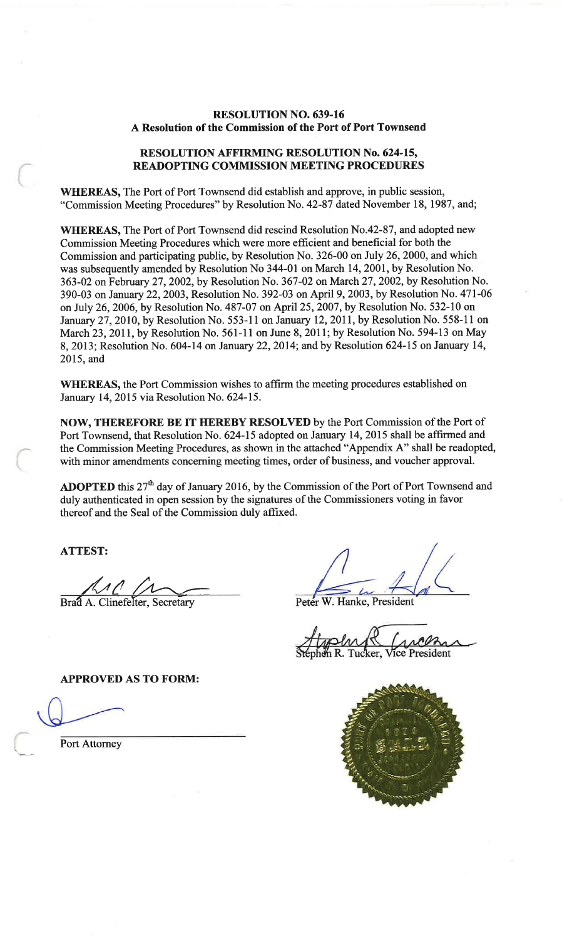#### **RESOLUTION NO. 639-16** A Resolution of the Commission of the Port of Port Townsend

#### **RESOLUTION AFFIRMING RESOLUTION No. 624-15, READOPTING COMMISSION MEETING PROCEDURES**

**WHEREAS, The Port of Port Townsend did establish and approve, in public session,** "Commission Meeting Procedures" by Resolution No. 42-87 dated November 18, 1987, and;

WHEREAS, The Port of Port Townsend did rescind Resolution No.42-87, and adopted new Commission Meeting Procedures which were more efficient and beneficial for both the Commission and participating public, by Resolution No. 326-00 on July 26, 2000, and which was subsequently amended by Resolution No 344-01 on March 14, 2001, by Resolution No. 363-02 on February 27, 2002, by Resolution No. 367-02 on March 27, 2002, by Resolution No. 390-03 on January 22, 2003, Resolution No. 392-03 on April 9, 2003, by Resolution No. 471-06 on July 26, 2006, by Resolution No. 487-07 on April 25, 2007, by Resolution No. 532-10 on January 27, 2010, by Resolution No. 553-11 on January 12, 2011, by Resolution No. 558-11 on March 23, 2011, by Resolution No. 561-11 on June 8, 2011; by Resolution No. 594-13 on May 8, 2013; Resolution No. 604-14 on January 22, 2014; and by Resolution 624-15 on January 14, 2015, and

WHEREAS, the Port Commission wishes to affirm the meeting procedures established on January 14, 2015 via Resolution No. 624-15.

NOW, THEREFORE BE IT HEREBY RESOLVED by the Port Commission of the Port of Port Townsend, that Resolution No. 624-15 adopted on January 14, 2015 shall be affirmed and the Commission Meeting Procedures, as shown in the attached "Appendix A" shall be readopted, with minor amendments concerning meeting times, order of business, and voucher approval.

**ADOPTED** this  $27<sup>th</sup>$  day of January 2016, by the Commission of the Port of Port Townsend and duly authenticated in open session by the signatures of the Commissioners voting in favor thereof and the Seal of the Commission duly affixed.

**ATTEST:** 

Brad A. Clinefelter, Secretary

Peter W. Hanke, President

ice President er.

**APPROVED AS TO FORM:** 

Port Attorney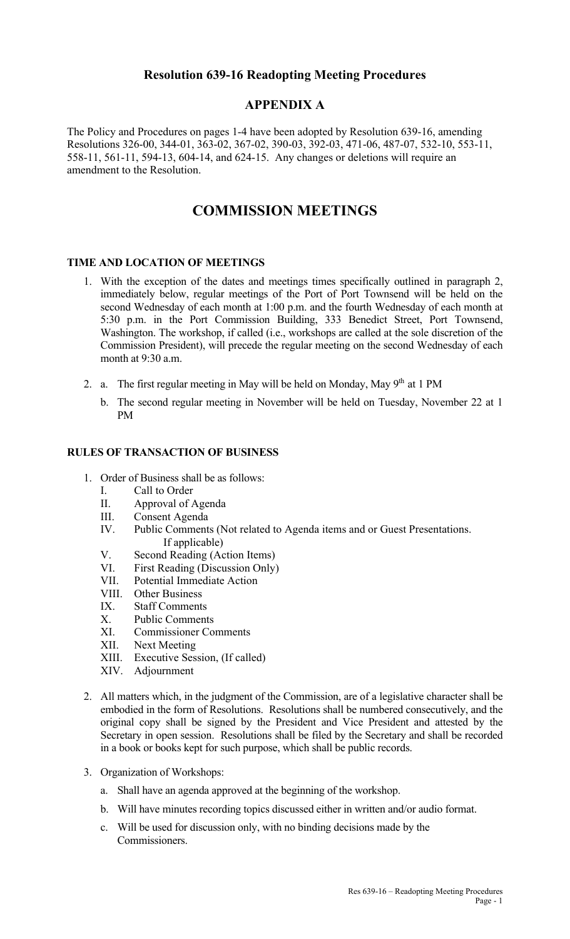## **Resolution 639-16 Readopting Meeting Procedures**

## **APPENDIX A**

The Policy and Procedures on pages 1-4 have been adopted by Resolution 639-16, amending Resolutions 326-00, 344-01, 363-02, 367-02, 390-03, 392-03, 471-06, 487-07, 532-10, 553-11, 558-11, 561-11, 594-13, 604-14, and 624-15. Any changes or deletions will require an amendment to the Resolution.

# **COMMISSION MEETINGS**

### **TIME AND LOCATION OF MEETINGS**

- 1. With the exception of the dates and meetings times specifically outlined in paragraph 2, immediately below, regular meetings of the Port of Port Townsend will be held on the second Wednesday of each month at 1:00 p.m. and the fourth Wednesday of each month at 5:30 p.m. in the Port Commission Building, 333 Benedict Street, Port Townsend, Washington. The workshop, if called (i.e., workshops are called at the sole discretion of the Commission President), will precede the regular meeting on the second Wednesday of each month at 9:30 a.m.
- 2. a. The first regular meeting in May will be held on Monday, May  $9<sup>th</sup>$  at 1 PM
	- b. The second regular meeting in November will be held on Tuesday, November 22 at 1 PM

#### **RULES OF TRANSACTION OF BUSINESS**

- 1. Order of Business shall be as follows:
	- I. Call to Order
	- II. Approval of Agenda
	- III. Consent Agenda
	- IV. Public Comments (Not related to Agenda items and or Guest Presentations. If applicable)
	- V. Second Reading (Action Items)
	- VI. First Reading (Discussion Only)
	- VII. Potential Immediate Action
	- VIII. Other Business
	- IX. Staff Comments
	- X. Public Comments
	- XI. Commissioner Comments
	- XII. Next Meeting<br>XIII. Executive Ses
	- Executive Session, (If called)
	- XIV. Adjournment
- 2. All matters which, in the judgment of the Commission, are of a legislative character shall be embodied in the form of Resolutions. Resolutions shall be numbered consecutively, and the original copy shall be signed by the President and Vice President and attested by the Secretary in open session. Resolutions shall be filed by the Secretary and shall be recorded in a book or books kept for such purpose, which shall be public records.
- 3. Organization of Workshops:
	- a. Shall have an agenda approved at the beginning of the workshop.
	- b. Will have minutes recording topics discussed either in written and/or audio format.
	- c. Will be used for discussion only, with no binding decisions made by the Commissioners.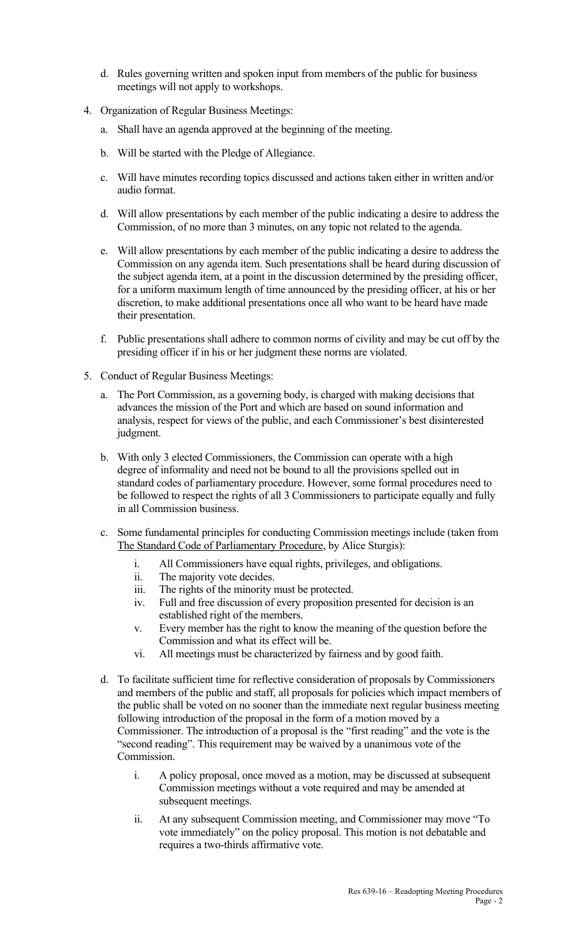- d. Rules governing written and spoken input from members of the public for business meetings will not apply to workshops.
- 4. Organization of Regular Business Meetings:
	- a. Shall have an agenda approved at the beginning of the meeting.
	- b. Will be started with the Pledge of Allegiance.
	- c. Will have minutes recording topics discussed and actions taken either in written and/or audio format.
	- d. Will allow presentations by each member of the public indicating a desire to address the Commission, of no more than 3 minutes, on any topic not related to the agenda.
	- e. Will allow presentations by each member of the public indicating a desire to address the Commission on any agenda item. Such presentations shall be heard during discussion of the subject agenda item, at a point in the discussion determined by the presiding officer, for a uniform maximum length of time announced by the presiding officer, at his or her discretion, to make additional presentations once all who want to be heard have made their presentation.
	- f. Public presentations shall adhere to common norms of civility and may be cut off by the presiding officer if in his or her judgment these norms are violated.
- 5. Conduct of Regular Business Meetings:
	- a. The Port Commission, as a governing body, is charged with making decisions that advances the mission of the Port and which are based on sound information and analysis, respect for views of the public, and each Commissioner's best disinterested judgment.
	- b. With only 3 elected Commissioners, the Commission can operate with a high degree of informality and need not be bound to all the provisions spelled out in standard codes of parliamentary procedure. However, some formal procedures need to be followed to respect the rights of all 3 Commissioners to participate equally and fully in all Commission business.
	- c. Some fundamental principles for conducting Commission meetings include (taken from The Standard Code of Parliamentary Procedure, by Alice Sturgis):
		- i. All Commissioners have equal rights, privileges, and obligations.
		- ii. The majority vote decides.
		- iii. The rights of the minority must be protected.
		- iv. Full and free discussion of every proposition presented for decision is an established right of the members.
		- v. Every member has the right to know the meaning of the question before the Commission and what its effect will be.
		- vi. All meetings must be characterized by fairness and by good faith.
	- d. To facilitate sufficient time for reflective consideration of proposals by Commissioners and members of the public and staff, all proposals for policies which impact members of the public shall be voted on no sooner than the immediate next regular business meeting following introduction of the proposal in the form of a motion moved by a Commissioner. The introduction of a proposal is the "first reading" and the vote is the "second reading". This requirement may be waived by a unanimous vote of the Commission.
		- i. A policy proposal, once moved as a motion, may be discussed at subsequent Commission meetings without a vote required and may be amended at subsequent meetings.
		- ii. At any subsequent Commission meeting, and Commissioner may move "To vote immediately" on the policy proposal. This motion is not debatable and requires a two-thirds affirmative vote.